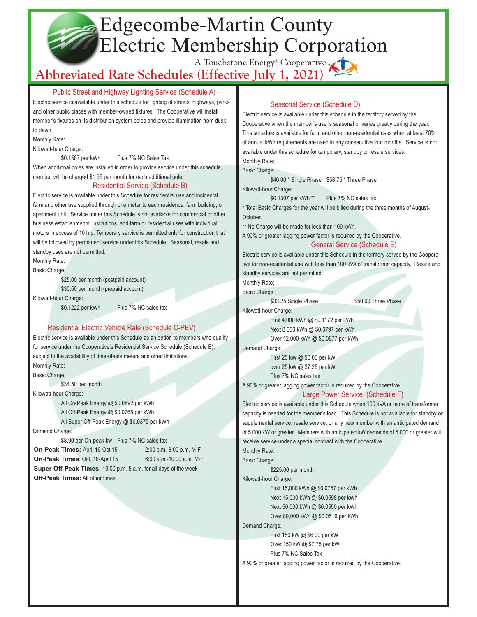# Edgecombe-Martin County Electric Membership Corporation

# A Touchstone Energy<sup>®</sup> Cooperative XI

Public Street and Highway Lighting Service (Schedule A)

Electric service is available under this schedule for lighting of streets, highways, parks and other public places with member-owned fixtures. The Cooperative will install member's fixtures on its distribution system poles and provide illumination from dusk to dawn.

Monthly Rate:

Kilowatt-hour Charge:

\$0.1587 per kWh Plus 7% NC Sales Tax

When additional poles are installed in order to provide service under this schedule, member will be charged \$1.95 per month for each additional pole.

## Residential Service (Schedule B)

Electric service is available under this Schedule for residential use and incidental farm and other use supplied through one meter to each residence, farm building, or apartment unit. Service under this Schedule is not available for commercial or other business establishments, institutions, and farm or residential uses with individual motors in excess of 10 h.p. Temporary service is permitted only for construction that will be followed by permanent service under this Schedule. Seasonal, resale and standby uses are not permitted.

Monthly Rate: Basic Charge:

\$25.00 per month (postpaid account)

\$30.50 per month (prepaid account)

Kilowatt-hour Charge:

\$0.1222 per kWh Plus 7% NC sales tax

# Residential Electric Vehicle Rate (Schedule C-PEV)

Electric service is available under this Schedule as an option to members who qualify for service under the Cooperative's Residential Service Schedule (Schedule B), subject to the availability of time-of-use meters and other limitations. Monthly Rate:

Basic Charge:

\$34.50 per month

Kilowatt-hour Charge:

All On-Peak Energy @ \$0.0892 per kWh All Off-Peak Energy @ \$0.0768 per kWh All Super Off-Peak Energy @ \$0.0375 per kWh

Demand Charge:

\$8.90 per On-peak kw Plus 7% NC sales tax **On-Peak Times:** April 16-Oct.15 2:00 p.m.-8:00 p.m. M-F **On-Peak Times**: Oct. 16-April 15 6:00 a.m.-10:00 a.m. M-F  **Super Off-Peak Times:** 10:00 p.m.-5 a.m. for all days of the week  **Off-Peak Times:** All other times

# Seasonal Service (Schedule D)

Electric service is available under this schedule in the territory served by the Cooperative when the member's use is seasonal or varies greatly during the year. This schedule is available for farm and other non-residential uses when at least 70% of annual kWh requirements are used in any consecutive four months. Service is not available under this schedule for temporary, standby or resale services. Monthly Rate:

Basic Charge:

\$40.00 \* Single Phase \$58.75 \* Three Phase

Kilowatt-hour Charge:

\$0.1307 per kWh \*\* Plus 7% NC sales tax

\* Total Basic Charges for the year will be billed during the three months of August-October.

\*\* No Charge will be made for less than 100 kWh.

A 90% or greater lagging power factor is required by the Cooperative.

General Service (Schedule E)

Electric service is available under this Schedule in the territory served by the Cooperative for non-residential use with less than 100 kVA of transformer capacity. Resale and standby services are not permitted.

Monthly Rate:

Basic Charge:

\$33.25 Single Phase \$50.00 Three Phase

Kilowatt-hour Charge:

First 4,000 kWh @ \$0.1172 per kWh Next 8,000 kWh @ \$0.0797 per kWh Over 12,000 kWh @ \$0.0677 per kWh

Demand Charge:

First 25 kW @ \$0.00 per kW over 25 kW @ \$7.25 per kW Plus 7% NC sales tax

A 90% or greater lagging power factor is required by the Cooperative. Large Power Service (Schedule F)

Electric service is available under this Schedule when 100 kVA or more of transformer capacity is needed for the member's load. This Schedule is not available for standby or supplemental service, resale service, or any new member with an anticipated demand of 5,000 kW or greater. Members with anticipated kW demands of 5,000 or greater will receive service under a special contract with the Cooperative.

Monthly Rate: Basic Charge:

\$225.00 per month

Kilowatt-hour Charge:

First 15,000 kWh @ \$0.0757 per kWh Next 15,000 kWh @ \$0.0598 per kWh Next 50,000 kWh @ \$0.0550 per kWh Over 80,000 kWh @ \$0.0516 per kWh

Demand Charge:

First 150 kW @ \$6.00 per kW Over 150 kW @ \$7.75 per kW Plus 7% NC Sales Tax

A 90% or greater lagging power factor is required by the Cooperative.